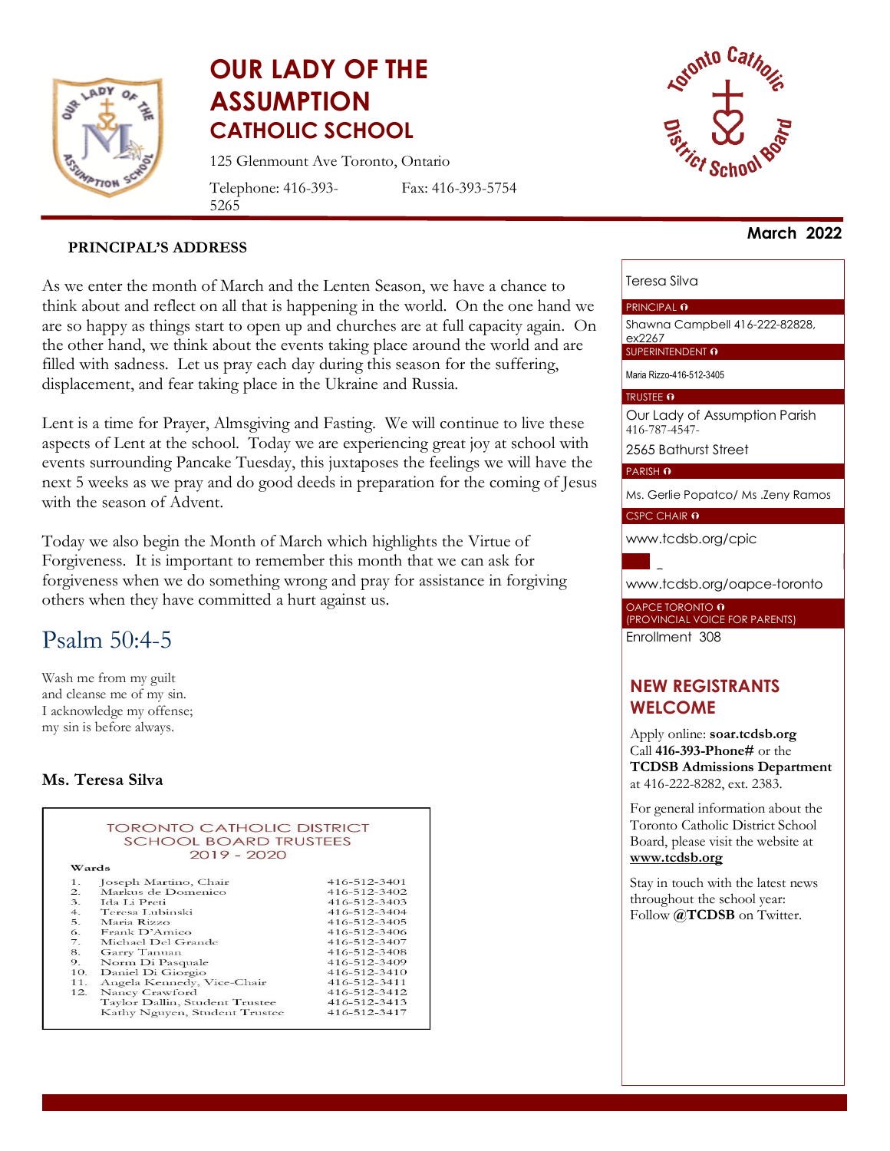

# **OUR LADY OF THE ASSUMPTION CATHOLIC SCHOOL**

125 Glenmount Ave Toronto, Ontario

Telephone: 416-393- 5265

Fax: 416-393-5754



#### **PRINCIPAL'S ADDRESS**

As we enter the month of March and the Lenten Season, we have a chance to think about and reflect on all that is happening in the world. On the one hand we are so happy as things start to open up and churches are at full capacity again. On the other hand, we think about the events taking place around the world and are filled with sadness. Let us pray each day during this season for the suffering, displacement, and fear taking place in the Ukraine and Russia.

Lent is a time for Prayer, Almsgiving and Fasting. We will continue to live these aspects of Lent at the school. Today we are experiencing great joy at school with events surrounding Pancake Tuesday, this juxtaposes the feelings we will have the next 5 weeks as we pray and do good deeds in preparation for the coming of Jesus with the season of Advent.

Today we also begin the Month of March which highlights the Virtue of Forgiveness. It is important to remember this month that we can ask for forgiveness when we do something wrong and pray for assistance in forgiving others when they have committed a hurt against us.

## Psalm 50:4-5

Wash me from my guilt and cleanse me of my sin. I acknowledge my offense; my sin is before always.

#### **Ms. Teresa Silva**



#### **March 2022**

#### Teresa Silva

#### PRINCIPAL O

Shawna Campbell 416-222-82828, ex2267

SUPERINTENDENT O

Maria Rizzo-416-512-3405

#### TRUSTEE O

Our Lady of Assumption Parish 416-787-4547- 2565 Bathurst Street

PARISH O

Ms. Gerlie Popatco/ Ms .Zeny Ramos

#### CSPC CHAIR 0

[www.tcdsb.org/cpic](http://www.tcdsb.org/cpic)

[www.tcdsb.org/oapce](http://www.tcdsb.org/oapce-toronto)-toronto

OAPCE TORONTO **0** (PROVINCIAL VOICE FOR PARENTS) Enrollment 308

## **NEW REGISTRANTS WELCOME**

Apply online: **soar.tcdsb.org** Call **416-393-Phone#** or the **TCDSB Admissions Department** at 416-222-8282, ext. 2383.

For general information about the Toronto Catholic District School Board, please visit the website at **[www.tcdsb.org](http://www.tcdsb.org/)**

Stay in touch with the latest news throughout the school year: Follow **@TCDSB** on Twitter.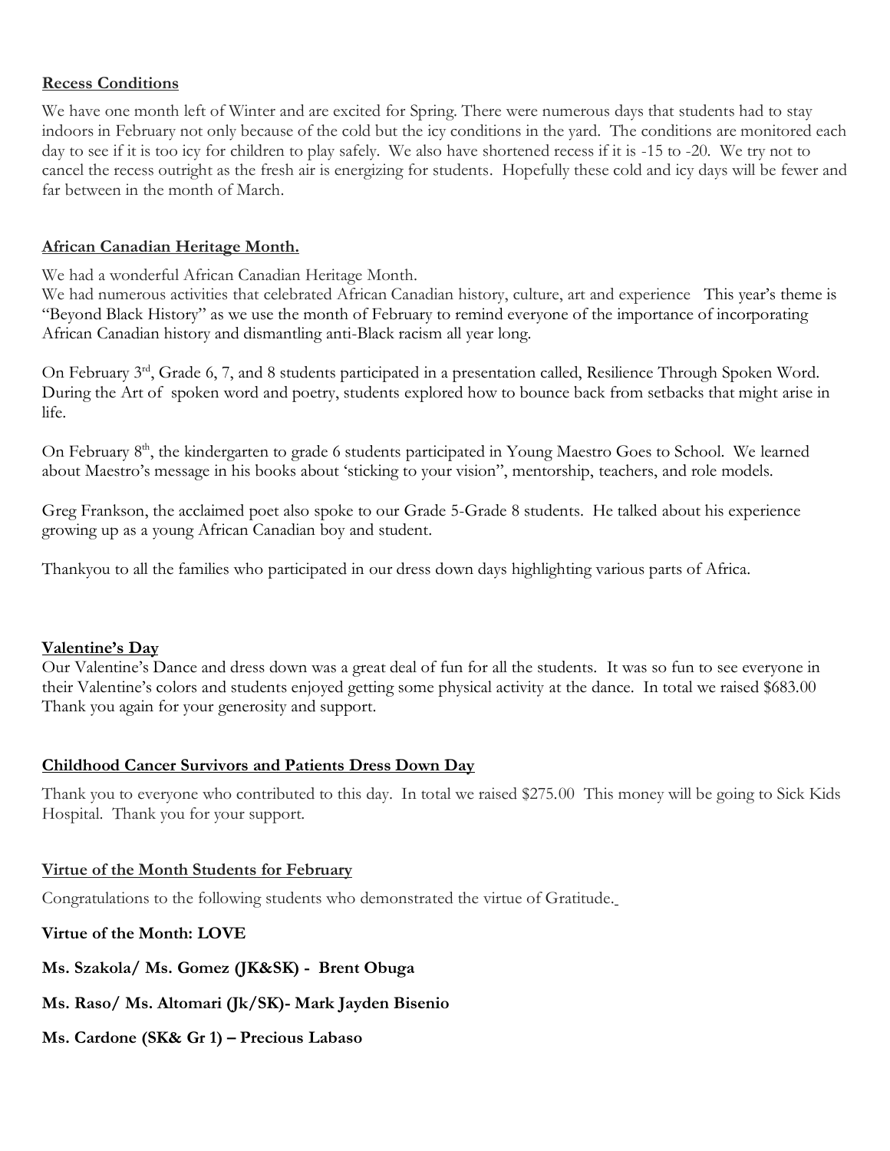#### **Recess Conditions**

We have one month left of Winter and are excited for Spring. There were numerous days that students had to stay indoors in February not only because of the cold but the icy conditions in the yard. The conditions are monitored each day to see if it is too icy for children to play safely. We also have shortened recess if it is -15 to -20. We try not to cancel the recess outright as the fresh air is energizing for students. Hopefully these cold and icy days will be fewer and far between in the month of March.

#### **African Canadian Heritage Month.**

We had a wonderful African Canadian Heritage Month.

We had numerous activities that celebrated African Canadian history, culture, art and experience This year's theme is "Beyond Black History" as we use the month of February to remind everyone of the importance of incorporating African Canadian history and dismantling anti-Black racism all year long.

On February 3<sup>rd</sup>, Grade 6, 7, and 8 students participated in a presentation called, Resilience Through Spoken Word. During the Art of spoken word and poetry, students explored how to bounce back from setbacks that might arise in life.

On February 8<sup>th</sup>, the kindergarten to grade 6 students participated in Young Maestro Goes to School. We learned about Maestro's message in his books about 'sticking to your vision", mentorship, teachers, and role models.

Greg Frankson, the acclaimed poet also spoke to our Grade 5-Grade 8 students. He talked about his experience growing up as a young African Canadian boy and student.

Thankyou to all the families who participated in our dress down days highlighting various parts of Africa.

### **Valentine's Day**

Our Valentine's Dance and dress down was a great deal of fun for all the students. It was so fun to see everyone in their Valentine's colors and students enjoyed getting some physical activity at the dance. In total we raised \$683.00 Thank you again for your generosity and support.

### **Childhood Cancer Survivors and Patients Dress Down Day**

Thank you to everyone who contributed to this day. In total we raised \$275.00 This money will be going to Sick Kids Hospital. Thank you for your support.

#### **Virtue of the Month Students for February**

Congratulations to the following students who demonstrated the virtue of Gratitude.

## **Virtue of the Month: LOVE**

**Ms. Szakola/ Ms. Gomez (JK&SK) - Brent Obuga**

## **Ms. Raso/ Ms. Altomari (Jk/SK)- Mark Jayden Bisenio**

## **Ms. Cardone (SK& Gr 1) – Precious Labaso**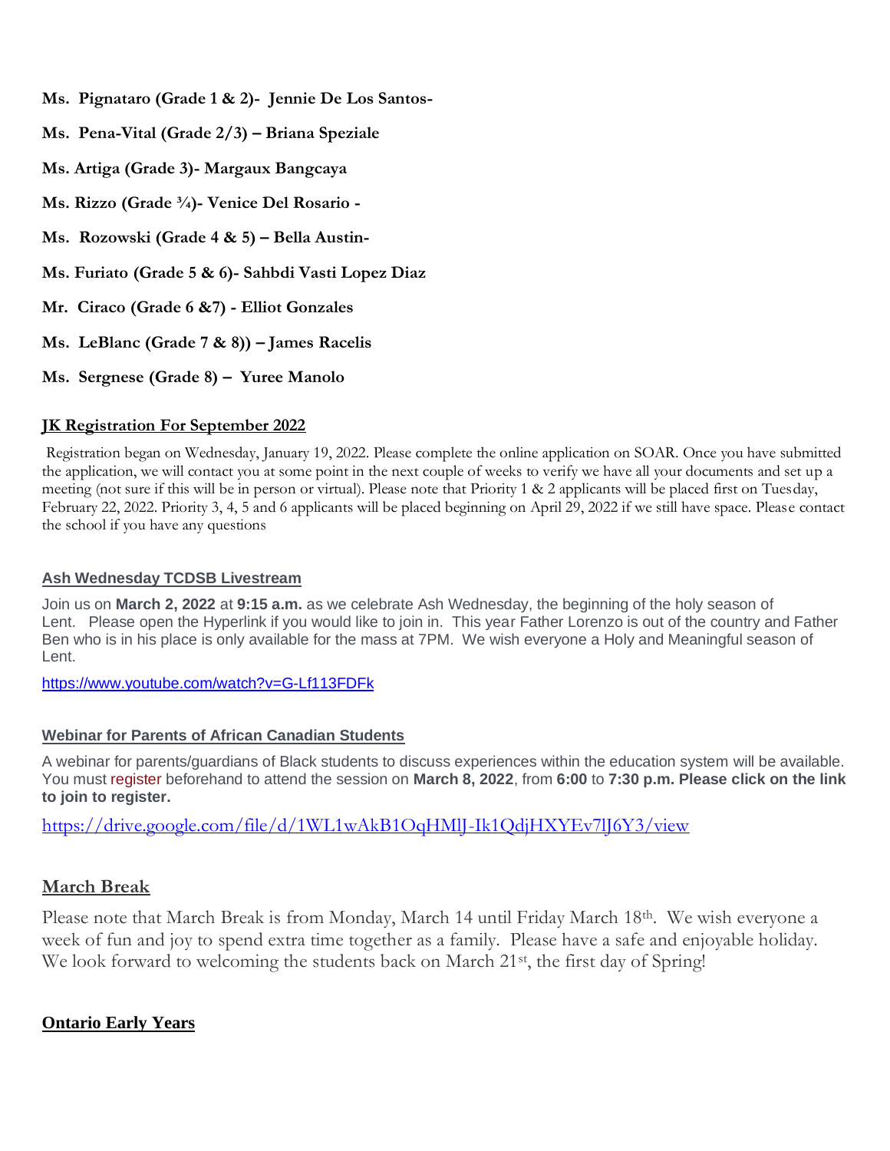- **Ms. Pignataro (Grade 1 & 2)- Jennie De Los Santos-**
- **Ms. Pena-Vital (Grade 2/3) – Briana Speziale**
- **Ms. Artiga (Grade 3)- Margaux Bangcaya**
- **Ms. Rizzo (Grade ¾)- Venice Del Rosario -**
- **Ms. Rozowski (Grade 4 & 5) – Bella Austin-**
- **Ms. Furiato (Grade 5 & 6)- Sahbdi Vasti Lopez Diaz**
- **Mr. Ciraco (Grade 6 &7) - Elliot Gonzales**
- **Ms. LeBlanc (Grade 7 & 8)) – James Racelis**
- **Ms. Sergnese (Grade 8) – Yuree Manolo**

#### **JK Registration For September 2022**

Registration began on Wednesday, January 19, 2022. Please complete the online application on SOAR. Once you have submitted the application, we will contact you at some point in the next couple of weeks to verify we have all your documents and set up a meeting (not sure if this will be in person or virtual). Please note that Priority 1 & 2 applicants will be placed first on Tuesday, February 22, 2022. Priority 3, 4, 5 and 6 applicants will be placed beginning on April 29, 2022 if we still have space. Please contact the school if you have any questions

#### **Ash Wednesday TCDSB Livestream**

Join us on **March 2, 2022** at **9:15 a.m.** as we celebrate Ash Wednesday, the beginning of the holy season of Lent. Please open the Hyperlink if you would like to join in. This year Father Lorenzo is out of the country and Father Ben who is in his place is only available for the mass at 7PM. We wish everyone a Holy and Meaningful season of Lent.

<https://www.youtube.com/watch?v=G-Lf113FDFk>

#### **Webinar for Parents of African Canadian Students**

A webinar for parents/guardians of Black students to discuss experiences within the education system will be available. You must [register](https://t.e2ma.net/click/hem2he/lxba9og/pova9x) beforehand to attend the session on **March 8, 2022**, from **6:00** to **7:30 p.m. Please click on the link to join to register.** 

<https://drive.google.com/file/d/1WL1wAkB1OqHMlJ-Ik1QdjHXYEv7lJ6Y3/view>

### **March Break**

Please note that March Break is from Monday, March 14 until Friday March 18th. We wish everyone a week of fun and joy to spend extra time together as a family. Please have a safe and enjoyable holiday. We look forward to welcoming the students back on March 21<sup>st</sup>, the first day of Spring!

### **Ontario Early Years**